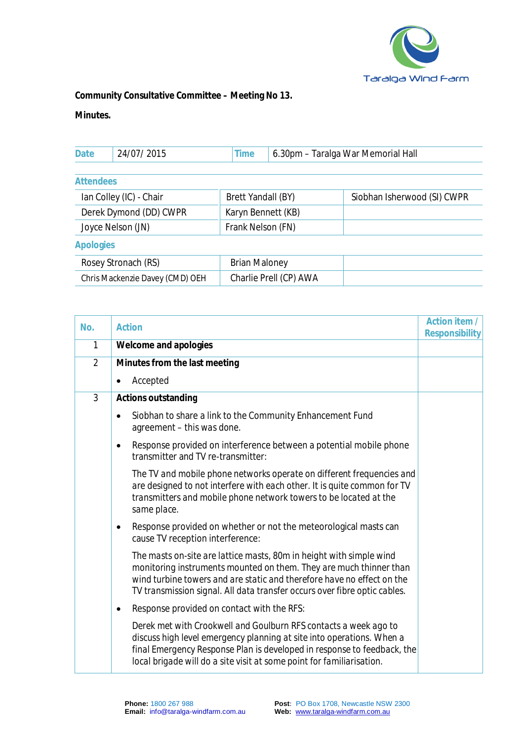

**Community Consultative Committee – Meeting No 13.** 

**Minutes.** 

| <b>Date</b><br>'Д<br><b>IVII</b><br>Hall<br>. |  |
|-----------------------------------------------|--|
|-----------------------------------------------|--|

**Attendees** 

| Ian Colley (IC) - Chair | Brett Yandall (BY) | Siobhan Isherwood (SI) CWPR |
|-------------------------|--------------------|-----------------------------|
| Derek Dymond (DD) CWPR  | Karyn Bennett (KB) |                             |
| Joyce Nelson (JN)       | Frank Nelson (FN)  |                             |
| Apologies               |                    |                             |

| Rosey Stronach (RS)             | Brian Maloney          |  |
|---------------------------------|------------------------|--|
| Chris Mackenzie Davey (CMD) OEH | Charlie Prell (CP) AWA |  |

| No.            | <b>Action</b>                                                                                                                                                                                                                                                                                    | Action item /  |
|----------------|--------------------------------------------------------------------------------------------------------------------------------------------------------------------------------------------------------------------------------------------------------------------------------------------------|----------------|
|                |                                                                                                                                                                                                                                                                                                  | Responsibility |
| $\mathbf{1}$   | Welcome and apologies                                                                                                                                                                                                                                                                            |                |
| $\overline{2}$ | Minutes from the last meeting                                                                                                                                                                                                                                                                    |                |
|                | Accepted<br>٠                                                                                                                                                                                                                                                                                    |                |
| 3              | Actions outstanding                                                                                                                                                                                                                                                                              |                |
|                | Siobhan to share a link to the Community Enhancement Fund<br>agreement - this was done.                                                                                                                                                                                                          |                |
|                | Response provided on interference between a potential mobile phone<br>transmitter and TV re-transmitter:                                                                                                                                                                                         |                |
|                | The TV and mobile phone networks operate on different frequencies and<br>are designed to not interfere with each other. It is quite common for TV<br>transmitters and mobile phone network towers to be located at the<br>same place.                                                            |                |
|                | Response provided on whether or not the meteorological masts can<br>cause TV reception interference:                                                                                                                                                                                             |                |
|                | The masts on-site are lattice masts, 80m in height with simple wind<br>monitoring instruments mounted on them. They are much thinner than<br>wind turbine towers and are static and therefore have no effect on the<br>TV transmission signal. All data transfer occurs over fibre optic cables. |                |
|                | Response provided on contact with the RFS:                                                                                                                                                                                                                                                       |                |
|                | Derek met with Crookwell and Goulburn RFS contacts a week ago to<br>discuss high level emergency planning at site into operations. When a<br>final Emergency Response Plan is developed in response to feedback, the<br>local brigade will do a site visit at some point for familiarisation.    |                |